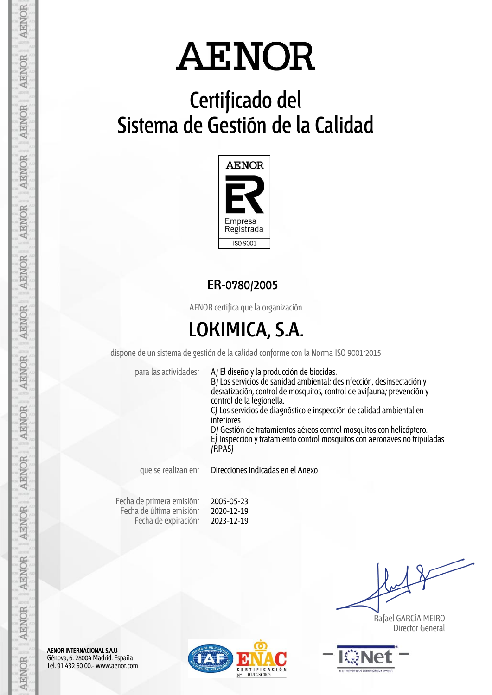# **Certificado del Sistema de Gestión de la Calidad**



## **ER-0780/2005**

AENOR certifica que la organización

## **LOKIMICA, S.A.**

dispone de un sistema de gestión de la calidad conforme con la Norma ISO 9001:2015

para las actividades: A) El diseño y la producción de biocidas.

B) Los servicios de sanidad ambiental: desinfección, desinsectación y desratización, control de mosquitos, control de avifauna; prevención y control de la legionella. C) Los servicios de diagnóstico e inspección de calidad ambiental en

interiores D) Gestión de tratamientos aéreos control mosquitos con helicóptero.

E) Inspección y tratamiento control mosquitos con aeronaves no tripuladas (RPAS)

que se realizan en: Direcciones indicadas en el Anexo

Fecha de primera emisión: Fecha de última emisión: Fecha de expiración:

2005-05-23 2020-12-19 2023-12-19

 Rafael GARCÍA MEIRO Director General



AENOR INTERNACIONAL S.A.U. Génova, 6. 28004 Madrid. España Tel. 91 432 60 00.- www.aenor.com

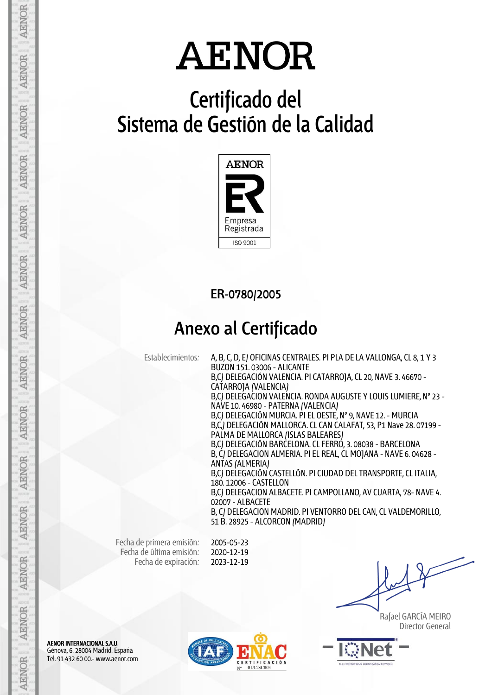# **Certificado del Sistema de Gestión de la Calidad**



**ER-0780/2005**

## **Anexo al Certificado**

Establecimientos: A, B, C, D, E) OFICINAS CENTRALES. PI PLA DE LA VALLONGA, CL 8, 1 Y 3 BUZON 151. 03006 - ALICANTE B,C) DELEGACIÓN VALENCIA. PI CATARROJA, CL 20, NAVE 3. 46670 - CATARROJA (VALENCIA) B,C) DELEGACION VALENCIA. RONDA AUGUSTE Y LOUIS LUMIERE, Nº 23 - NAVE 10. 46980 - PATERNA (VALENCIA) B,C) DELEGACIÓN MURCIA. PI EL OESTE, Nº 9, NAVE 12. - MURCIA B,C,) DELEGACIÓN MALLORCA. CL CAN CALAFAT, 53, P1 Nave 28. 07199 - PALMA DE MALLORCA (ISLAS BALEARES) B,C) DELEGACIÓN BARCELONA. CL FERRO, 3. 08038 - BARCELONA B, C) DELEGACION ALMERIA. PI EL REAL, CL MOJANA - NAVE 6. 04628 - ANTAS (ALMERIA) B,C) DELEGACIÓN CASTELLÓN. PI CIUDAD DEL TRANSPORTE, CL ITALIA, 180. 12006 - CASTELLON B,C) DELEGACION ALBACETE. PI CAMPOLLANO, AV CUARTA, 78- NAVE 4. 02007 - ALBACETE B, C) DELEGACION MADRID. PI VENTORRO DEL CAN, CL VALDEMORILLO, 51 B. 28925 - ALCORCON (MADRID)

Fecha de primera emisión: Fecha de última emisión: Fecha de expiración:

2005-05-23 2020-12-19 2023-12-19

 Rafael GARCÍA MEIRO Director General



AENOR INTERNACIONAL S.A.U. Génova, 6. 28004 Madrid. España Tel. 91 432 60 00.- www.aenor.com

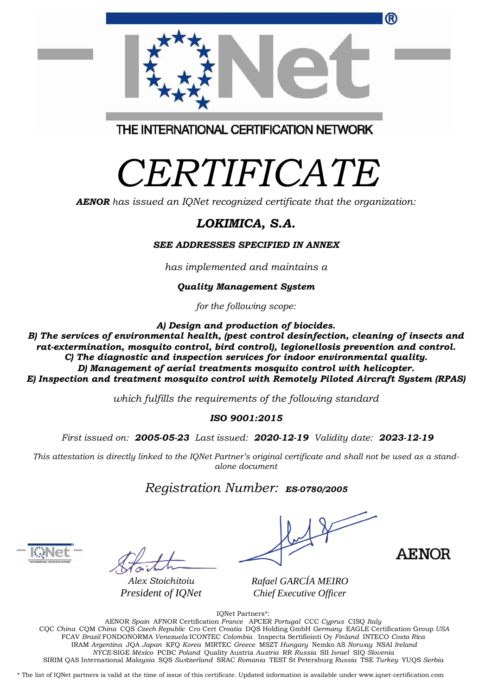| <sup>(R)</sup>                          |  |
|-----------------------------------------|--|
| THE INTERNATIONAL CERTIFICATION NETWORK |  |

# *CERTIFICATE*

*AENOR has issued an IQNet recognized certificate that the organization:*

## *LOKIMICA, S.A.*

#### *SEE ADDRESSES SPECIFIED IN ANNEX*

*has implemented and maintains a*

#### *Quality Management System*

*for the following scope:* 

*A) Design and production of biocides.*

*B) The services of environmental health, (pest control desinfection, cleaning of insects and rat-extermination, mosquito control, bird control), legionellosis prevention and control. C) The diagnostic and inspection services for indoor environmental quality. D) Management of aerial treatments mosquito control with helicopter. E) Inspection and treatment mosquito control with Remotely Piloted Aircraft System (RPAS)*

*which fulfills the requirements of the following standard*

#### *ISO 9001:2015*

*First issued on: 2005-05-23 Last issued: 2020-12-19 Validity date: 2023-12-19*

This attestation is directly linked to the IONet Partner's original certificate and shall not be used as a stand*alone document*

### *Registration Number: ES-0780/2005*

*Alex Stoichitoiu President of IQNet*



*Rafael GARCÍA MEIRO Chief Executive Officer*

IQNet Partners\*:

AENOR *Spain* AFNOR Certification *France* APCER *Portugal* CCC *Cyprus* CISQ *Italy* CQC *China* CQM *China* CQS *Czech Republic* Cro Cert *Croatia* DQS Holding GmbH *Germany* EAGLE Certification Group *USA* FCAV *Brazil* FONDONORMA *Venezuela* ICONTEC *Colombia* Inspecta Sertifiointi Oy *Finland* INTECO *Costa Rica* IRAM *Argentina* JQA *Japan* KFQ *Korea* MIRTEC *Greece* MSZT *Hungary* Nemko AS *Norway* NSAI *Ireland NYCE-*SIGE *México* PCBC *Poland* Quality Austria *Austria* RR *Russia* SII *Israel* SIQ *Slovenia*  SIRIM QAS International *Malaysia* SQS *Switzerland* SRAC *Romania* TEST St Petersburg *Russia* TSE *Turkey* YUQS *Serbia*

\* The list of IQNet partners is valid at the time of issue of this certificate. Updated information is available under www.iqnet-certification.com